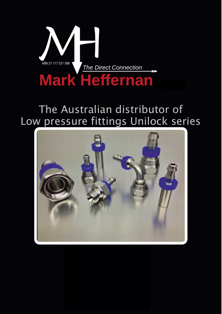

# Low pressure fittings Unilock series The Australian distributor of

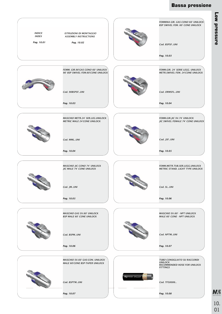#### **Bassa pressione**



**Low pressure Low pressure**

10. 01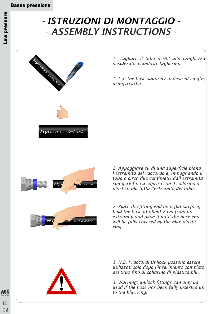# *- ISTRUZIONI DI MONTAGGIO - - ASSEMBLY INSTRUCTIONS -*



*1. Tagliare il tubo a 90° alla lunghezza desiderata usando un taglierino.*

*1. Cut the hose squarely to desired length, using a cutter.*

*2. Appoggiare su di una superficie piana l'estremità del raccordo e, impugnando il tubo a circa due centimetri dall'estremità spingere fino a coprire con il collarino di plastica blu tutta l'estremità del tubo.*

*2. Place the fitting end on a flat surface, hold the hose at about 2 cm from its extremity and push it until the hose end will be fully covered by the blue plastic ring.*

*3. N.B. I raccordi Unilock possono essere utilizzati solo dopo l'inserimento completo del tubo fino al collarino di plastica blu.*

*3. Warning: unilock fittings can only be used if the hose has been fully inserted up to the blue ring.*

*Stainless Steel Fittings*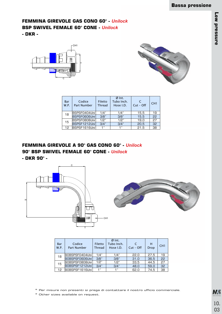# **FEMMINA GIREVOLE GAS CONO 60° -** *Unilock* **BSP SWIVEL FEMALE 60° CONE -** *Unilock*

**- DKR -**





| Bar<br>W.P. | Codice<br><b>Part Number</b> | <b>Filetto</b><br>Thread | $Ø$ Int.<br>Tubo Inch.<br>Hose I.D. | C<br>$Cut - Off$ | CH <sub>1</sub> |
|-------------|------------------------------|--------------------------|-------------------------------------|------------------|-----------------|
| 18          | BSPSF0404 <i>Uni</i>         | 1/4"                     | 1/4"                                | 15.5             | 19              |
|             | <b>BSPSF0606Uni</b>          | 3/8"                     | 3/8"                                | 15.5             | 22              |
| 15          | BSPSF0808 <i>Uni</i> l       | 1/2"                     | 1/2"                                | 19.0             | 27              |
|             | BSPSF1212Unil                | 3/4"                     | 3/4"                                | 20.5             | 32              |
| 12          | BSPSF1616Uni                 | 1"                       | 1"                                  | 21,5             | 38              |

**FEMMINA GIREVOLE A 90° GAS CONO 60° -** *Unilock* **90° BSP SWIVEL FEMALE 60° CONE -** *Unilock*

**- DKR 90° -**



| Bar<br><b>W.P.</b> | Codice<br>Part Number  | Filetto<br>Thread | $Ø$ Int.<br>Tubo Inch.<br>Hose I.D. | $Cut - Off$ | н<br><b>Drop</b> | CH <sub>1</sub> |
|--------------------|------------------------|-------------------|-------------------------------------|-------------|------------------|-----------------|
| 18                 | 90BSPSF0404Unil        | 1/4"              | 1/4"                                | 22.0        | 27.5             | 19              |
|                    | 90BSPSF0606 <i>Uni</i> | 3/8"              | 3/8"                                | 31,0        | 36.5             | 22              |
| 15                 | 90BSPSF0808 <i>Uni</i> | 1/2"              | 1/2"                                | 33,5        | 44.5             | 27              |
|                    | 90BSPSF1212Unil        | 3/4"              | 3/4"                                | 48,0        | 59,0             | 32              |
| 12                 | 90BSPSF1616Uni         | 1"                | 1"                                  | 62,0        | 74,5             | 38              |

\* Per misure non presenti si prega di contattare il nostro ufficio commerciale.

\* Other sizes available on request.

**MS** *Stainless Steel Fittings* 10. 03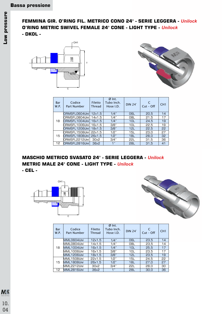#### **FEMMINA GIR. O'RING FIL. METRICO CONO 24° - SERIE LEGGERA -** *Unilock* **O'RING METRIC SWIVEL FEMALE 24° CONE - LIGHT TYPE -** *Unilock* **- DKOL -**





| Bar<br>W.P. | Codice<br>Part Number           | Filetto<br><b>Thread</b> | $Ø$ Int.<br>Tubo Inch.<br>Hose I.D. | $DIN 24^\circ$  | $Cut - Off$ | CH1 |
|-------------|---------------------------------|--------------------------|-------------------------------------|-----------------|-------------|-----|
|             | ORMSFL0604 <i>Uni</i> l         | 12x1.5                   | 1/4"                                | 06L             | 20.5        | 14  |
|             | ORMSFL0804 <i>Uni</i> l         | 14x1.5                   | 1/4"                                | O8L             | 21.5        | 17  |
| 18          | ORMSFL1004Unil                  | 16x1.5                   | 1/4"                                | 10L             | 24.5        | 19  |
|             | ORMSFL1006 <i>Uni</i>           | 16x1.5                   | 3/8"                                | 10 <sub>L</sub> | 22,5        | 19  |
|             | ORMSFL1206Unil                  | 18x1.5                   | 3/8"                                | 12L             | 22.5        | 22  |
|             | ORMSFL1508 <i>Uni</i>           | 22x1.5                   | 1/2"                                | 15L             | 23.0        | 27  |
| 15          | $ ORMSEL1808$ <i>Uni</i> 26x1,5 |                          | 1/2"                                | 18L             | 28,0        | 32  |
|             |                                 | 30x2                     | 3/4"                                | <b>22L</b>      | 31,5        | 36  |
| 12          | ORMSFL2816Uni                   | 36x2                     | 1"                                  | <b>28L</b>      | 31.5        | 41  |

#### **MASCHIO METRICO SVASATO 24° - SERIE LEGGERA -** *Unilock* **METRIC MALE 24° CONE - LIGHT TYPE -** *Unilock* **- CEL -**





| Bar<br>W.P. | Codice<br>Part Number | <b>Filetto</b><br>Thread | $Ø$ Int.<br>Tubo Inch.<br>Hose I.D. | $DIN 24^\circ$ | $Cut - Off$ | CH <sub>1</sub> |
|-------------|-----------------------|--------------------------|-------------------------------------|----------------|-------------|-----------------|
|             | MML0604Uni            | 12x1.5                   | 1/4"                                | 06L            | 23.5        | 14              |
|             | MML0804Uni            | 14x1.5                   | 1/4"                                | O8L            | 23.5        | 14              |
| 18          | MML1004Uni            | 16x1.5                   | 1/4"                                | 10L            | 25.5        | 17              |
|             | MML1006Uni            | 16x1.5                   | 3/8"                                | 10L            | 23.5        | 17              |
|             | MML1206Uni            | 18x1.5                   | 3/8"                                | 12L            | 23.5        | 19              |
|             | MML1508Uni            | 22x1.5                   | 1/2"                                | 15L            | 24,5        | 22              |
| 15          | MML1808Uni            | 26x1,5                   | 1/2"                                | 18L            | 27,0        | 27              |
|             | MML2212Uni            | 30x2                     | 3/4"                                | <b>22L</b>     | 28.0        | 30              |
| 12          | MML2816Uni            | 36x2                     | 1"                                  | 28L            | 30.0        | 36              |

10. *Stainless Steel Fittings*

04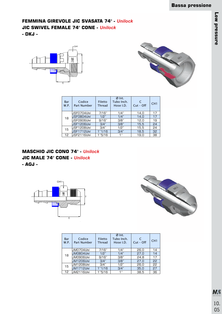# **FEMMINA GIREVOLE JIC SVASATA 74° -** *Unilock* **JIC SWIVEL FEMALE 74° CONE -** *Unilock*

**- DKJ -**





| Bar<br><b>W.P.</b> | Codice<br>Part Number    | Filetto<br><b>Thread</b> | $Ø$ Int.<br>Tubo Inch.<br>Hose I.D. | C<br>$Cut - Off$ | CH1 |
|--------------------|--------------------------|--------------------------|-------------------------------------|------------------|-----|
|                    | JSF0704 <i>Uni</i>       | 7/16"                    | 1/4"                                | 14,0             | 17  |
| 18                 | <b>JSF0804<i>Uni</i></b> | 1/2"                     | 1/4"                                | 14,0             | 17  |
|                    | JSF0906 <i>Uni</i>       | 9/16"                    | 3/8"                                | 12,0             | 19  |
|                    | <b>JSF1206Uni</b>        | 3/4"                     | 3/8"                                | 15,5             | 24  |
| 15                 | JSF1208 <i>Uni</i>       | 3/4"                     | 1/2"                                | 15,5             | 24  |
|                    | JSF1712Uni               | 1"1/16                   | 3/4"                                | 18,5             | 32  |
| 12                 | USF2116 <i>Uni</i>       | 1"5/16                   | 1"                                  | 19,0             | 38  |

**MASCHIO JIC CONO 74° -** *Unilock* **JIC MALE 74° CONE -** *Unilock* **- AGJ -**





| Bar<br><b>W.P.</b> | Codice<br><b>Part Number</b> | Filetto<br><b>Thread</b> | $Ø$ Int.<br>Tubo Inch.<br>Hose I.D. | $Cut - Off$ | CH <sub>1</sub> |
|--------------------|------------------------------|--------------------------|-------------------------------------|-------------|-----------------|
|                    | JM0704 <i>Uni</i>            | 7/16"                    | 1/4"                                | 26,0        | 14              |
| 18                 | JM0804 <i>Uni</i>            | 1/2"                     | 1/4"                                | 27,0        | 14              |
|                    | JM0906 <i>Uni</i>            | 9/16"                    | 3/8"                                | 24.8        | 17              |
|                    | <b>JM1206<i>Uni</i></b>      | 3/4"                     | 3/8"                                | 27.0        | 22              |
| 15                 | JM1208 <i>Uni</i>            | 3/4"                     | 1/2"                                | 26,0        | 22              |
|                    | <b>JM1712Uni</b>             | 1"1/16                   | 3/4"                                | 35.0        | 27              |
| 12                 | JM2116Uni                    | 1"5/16                   | 1"                                  | 38.5        | 36              |

10. 05 *Stainless Steel Fittings*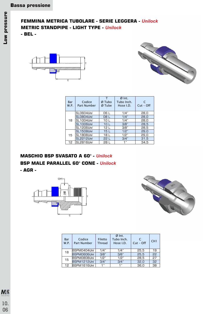# **FEMMINA METRICA TUBOLARE - SERIE LEGGERA -** *Unilock* **METRIC STANDPIPE - LIGHT TYPE -** *Unilock*

**- BEL -**





| Bar<br>W.P. | Codice<br>Part Number | т<br>Ø Tubo<br>Ø Tube | $Ø$ Int.<br>Tubo Inch.<br>Hose I.D. | C<br>$Cut - Off$ |
|-------------|-----------------------|-----------------------|-------------------------------------|------------------|
|             | SL0604Uni             | 06 L                  | 1/4"                                | 28,0             |
|             | <b>SL0804Uni</b>      | 08 L                  | 1/4"                                | 28.0             |
| 18          | SL1004Uni             | 10 <sub>L</sub>       | 1/4"                                | 28.0             |
|             | <b>SL1006Uni</b>      | 10 <sub>L</sub>       | 3/8"                                | 28.5             |
|             | <b>SL1206Uni</b>      | 12 L                  | 3/8"                                | 28,5             |
|             | <b>SL1508Uni</b>      | 15L                   | 1/2"                                | 29,0             |
| 15          | <b>SL1808Uni</b>      | 18 L                  | 1/2"                                | 29.0             |
|             | SL2212Uni             | 22 L                  | 3/4"                                | 31,5             |
| 12          | <b>SL2816Uni</b>      | 28 L                  | 1"                                  | 34.5             |

#### **MASCHIO BSP SVASATO A 60° -** *Unilock*

# **BSP MALE PARALLEL 60° CONE -** *Unilock*

**- AGR -**

*Stainless Steel Fittings*

10. 06





| Bar<br>W.P. | Codice<br><b>Part Number</b> | Filetto<br><b>Thread</b> | $Ø$ Int.<br>Tubo Inch.<br>Hose I.D. | C<br>$Cut - Off$ | CH <sub>1</sub> |
|-------------|------------------------------|--------------------------|-------------------------------------|------------------|-----------------|
| 18          | BSPM0404 <i>Uni</i>          | 1/4"                     | 1/4"                                | 25.5             | 19              |
|             | <b>BSPM0606Uni</b>           | 3/8"                     | 3/8"                                | 25.5             | 22              |
| 15          | BSPM0808 <i>Uni</i>          | 1/2"                     | 1/2"                                | 28.5             | 27              |
|             | BSPM1212Uni                  | 3/4"                     | 3/4"                                | 32.0             | 32              |
| 12          | BSPM1616Uni                  | 1"                       | 1"                                  | 36.0             | 38              |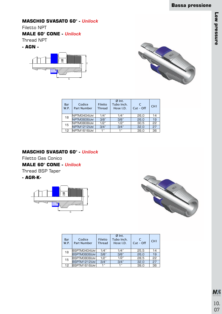# **Low pressure Low pressure**

## **MASCHIO SVASATO 60° -** *Unilock*

Filetto NPT

## **MALE 60° CONE -** *Unilock*

Thread NPT

**- AGN -**





| Bar<br>W.P. | Codice<br><b>Part Number</b> | Filetto<br><b>Thread</b> | $Ø$ Int.<br>Tubo Inch.<br>Hose I.D. | $Cut - Off$ | CH1 |
|-------------|------------------------------|--------------------------|-------------------------------------|-------------|-----|
| 18          | NPTM0404 <i>Uni</i>          | 1/4"                     | 1/4"                                | 26,0        | 14  |
|             | NPTM0606Uni                  | 3/8"                     | 3/8"                                | 26,0        | 19  |
| 15          | NPTM0808 <i>Uni</i>          | 1/2"                     | 1/2"                                | 30,5        | 22  |
|             | NPTM1212Uni                  | 3/4"                     | 3/4"                                | 32.0        | 27  |
| 12          | NPTM1616Uni                  | 1"                       | 1"                                  | 39.0        | 36  |

#### **MASCHIO SVASATO 60° -** *Unilock*

Filetto Gas Conico

**MALE 60° CONE -** *Unilock*

Thread BSP Taper

#### **- AGR-K-**





| Bar<br><b>W.P.</b> | Codice<br><b>Part Number</b> | <b>Filetto</b><br><b>Thread</b> | $Ø$ Int.<br>Tubo Inch.<br>Hose I.D. | C<br>$Cut - Off$ | CH <sub>1</sub> |
|--------------------|------------------------------|---------------------------------|-------------------------------------|------------------|-----------------|
| 18                 | BSPTM0404 <i>Uni</i>         | 1/4"                            | 1/4"                                | 25.5             | 14              |
|                    | BSPTM0606 <i>Uni</i>         | 3/8"                            | 3/8"                                | 26.0             | 19              |
| 15                 | BSPTM0808 <i>Uni</i>         | 1/2"                            | 1/2"                                | 28,5             | 22              |
|                    | BSPTM1212Uni                 | 3/4"                            | 3/4"                                | 32.0             | 27              |
| 12                 | <b>BSPTM1616Uni</b>          | 1"                              | 1"                                  | 39.0             | 36              |

*Stainless Steel Fittings* 10. 07